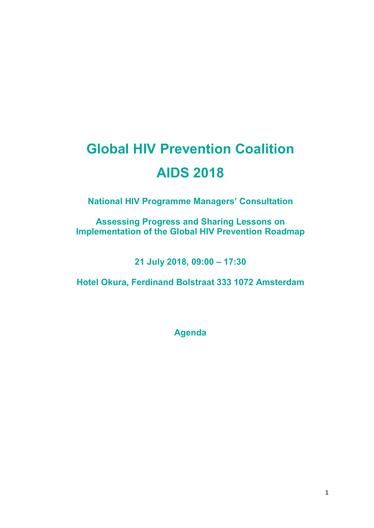## **Global HIV Prevention Coalition AIDS 2018**

**National HIV Programme Managers' Consultation**

**Assessing Progress and Sharing Lessons on Implementation of the Global HIV Prevention Roadmap**

**21 July 2018, 09:00 – 17:30**

**Hotel Okura, Ferdinand Bolstraat 333 1072 Amsterdam**

**Agenda**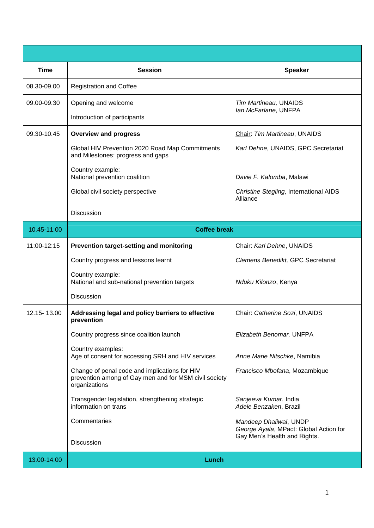| <b>Time</b> | <b>Session</b>                                                                                                          | <b>Speaker</b>                                                   |  |
|-------------|-------------------------------------------------------------------------------------------------------------------------|------------------------------------------------------------------|--|
| 08.30-09.00 | <b>Registration and Coffee</b>                                                                                          |                                                                  |  |
| 09.00-09.30 | Opening and welcome                                                                                                     | Tim Martineau, UNAIDS                                            |  |
|             | Introduction of participants                                                                                            | Ian McFarlane, UNFPA                                             |  |
| 09.30-10.45 | <b>Overview and progress</b>                                                                                            | Chair: Tim Martineau, UNAIDS                                     |  |
|             | Global HIV Prevention 2020 Road Map Commitments<br>and Milestones: progress and gaps                                    | Karl Dehne, UNAIDS, GPC Secretariat                              |  |
|             | Country example:<br>National prevention coalition                                                                       | Davie F. Kalomba, Malawi                                         |  |
|             | Global civil society perspective                                                                                        | Christine Stegling, International AIDS<br>Alliance               |  |
|             | <b>Discussion</b>                                                                                                       |                                                                  |  |
| 10.45-11.00 | <b>Coffee break</b>                                                                                                     |                                                                  |  |
| 11:00-12:15 | Prevention target-setting and monitoring                                                                                | Chair: Karl Dehne, UNAIDS                                        |  |
|             | Country progress and lessons learnt                                                                                     | Clemens Benedikt, GPC Secretariat                                |  |
|             | Country example:<br>National and sub-national prevention targets                                                        | Nduku Kilonzo, Kenya                                             |  |
|             | Discussion                                                                                                              |                                                                  |  |
| 12.15-13.00 | Addressing legal and policy barriers to effective<br>prevention                                                         | Chair: Catherine Sozi, UNAIDS                                    |  |
|             | Country progress since coalition launch                                                                                 | Elizabeth Benomar, UNFPA                                         |  |
|             | Country examples:<br>Age of consent for accessing SRH and HIV services                                                  | Anne Marie Nitschke, Namibia                                     |  |
|             | Change of penal code and implications for HIV<br>prevention among of Gay men and for MSM civil society<br>organizations | Francisco Mbofana, Mozambique                                    |  |
|             | Transgender legislation, strengthening strategic<br>information on trans                                                | Sanjeeva Kumar, India<br>Adele Benzaken, Brazil                  |  |
|             | Commentaries                                                                                                            | Mandeep Dhaliwal, UNDP<br>George Ayala, MPact: Global Action for |  |
|             | Discussion                                                                                                              | Gay Men's Health and Rights.                                     |  |
| 13.00-14.00 | Lunch                                                                                                                   |                                                                  |  |